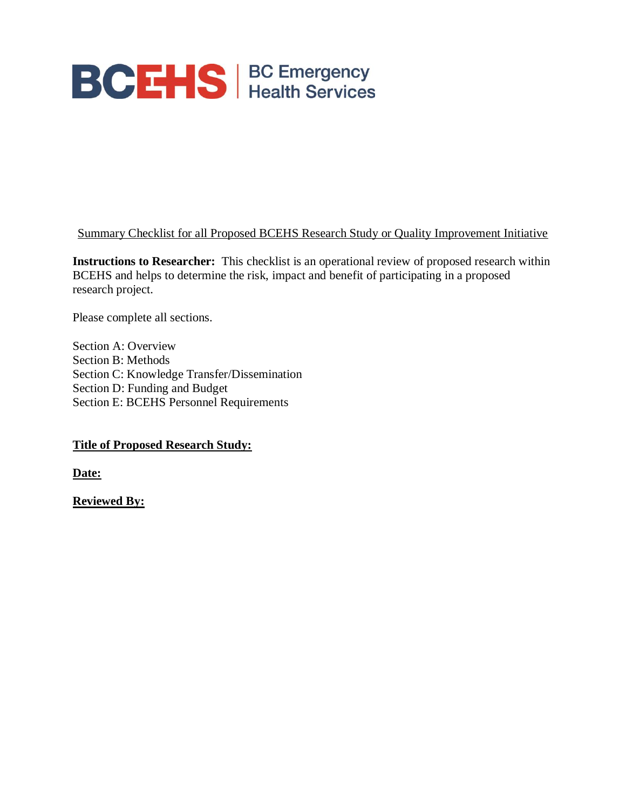

#### Summary Checklist for all Proposed BCEHS Research Study or Quality Improvement Initiative

**Instructions to Researcher:** This checklist is an operational review of proposed research within BCEHS and helps to determine the risk, impact and benefit of participating in a proposed research project.

Please complete all sections.

Section A: Overview Section B: Methods Section C: Knowledge Transfer/Dissemination Section D: Funding and Budget Section E: BCEHS Personnel Requirements

#### **Title of Proposed Research Study:**

**Date:**

**Reviewed By:**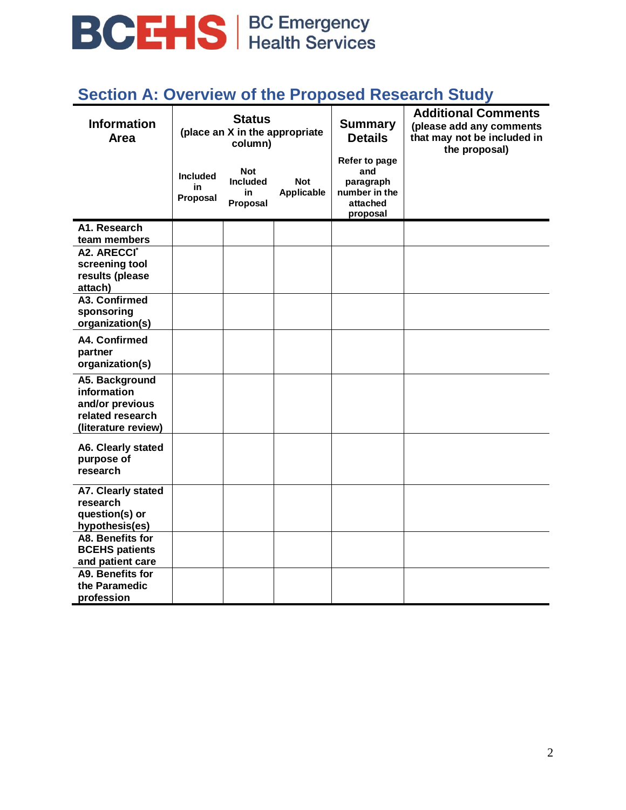

### **Section A: Overview of the Proposed Research Study**

| <b>Information</b><br>Area                                                                  | <b>Status</b><br>(place an X in the appropriate<br>column) |                                                 |                                 | <b>Summary</b><br><b>Details</b>                                           | <b>Additional Comments</b><br>(please add any comments<br>that may not be included in<br>the proposal) |
|---------------------------------------------------------------------------------------------|------------------------------------------------------------|-------------------------------------------------|---------------------------------|----------------------------------------------------------------------------|--------------------------------------------------------------------------------------------------------|
|                                                                                             | <b>Included</b><br>in<br>Proposal                          | <b>Not</b><br><b>Included</b><br>in<br>Proposal | <b>Not</b><br><b>Applicable</b> | Refer to page<br>and<br>paragraph<br>number in the<br>attached<br>proposal |                                                                                                        |
| A1. Research<br>team members                                                                |                                                            |                                                 |                                 |                                                                            |                                                                                                        |
| A2. ARECCI <sup>*</sup><br>screening tool<br>results (please<br>attach)                     |                                                            |                                                 |                                 |                                                                            |                                                                                                        |
| A3. Confirmed<br>sponsoring<br>organization(s)                                              |                                                            |                                                 |                                 |                                                                            |                                                                                                        |
| A4. Confirmed<br>partner<br>organization(s)                                                 |                                                            |                                                 |                                 |                                                                            |                                                                                                        |
| A5. Background<br>information<br>and/or previous<br>related research<br>(literature review) |                                                            |                                                 |                                 |                                                                            |                                                                                                        |
| A6. Clearly stated<br>purpose of<br>research                                                |                                                            |                                                 |                                 |                                                                            |                                                                                                        |
| A7. Clearly stated<br>research<br>question(s) or<br>hypothesis(es)                          |                                                            |                                                 |                                 |                                                                            |                                                                                                        |
| A8. Benefits for<br><b>BCEHS</b> patients<br>and patient care                               |                                                            |                                                 |                                 |                                                                            |                                                                                                        |
| A9. Benefits for<br>the Paramedic<br>profession                                             |                                                            |                                                 |                                 |                                                                            |                                                                                                        |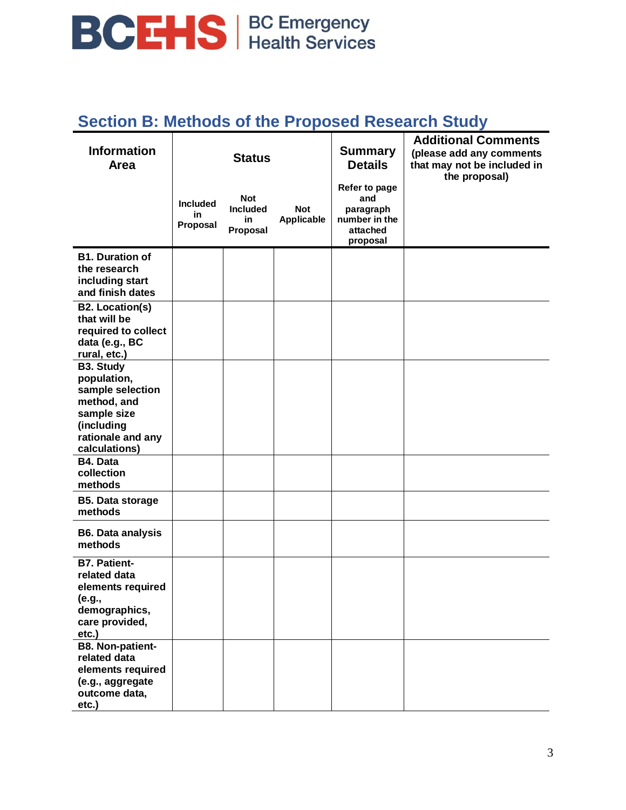# **BCEHS** | BC Emergency

### **Section B: Methods of the Proposed Research Study**

| <b>Information</b><br>Area                                                                                                            | <b>Status</b>                     |                                                 |                          | <b>Summary</b><br><b>Details</b>                                           | <b>Additional Comments</b><br>(please add any comments<br>that may not be included in<br>the proposal) |
|---------------------------------------------------------------------------------------------------------------------------------------|-----------------------------------|-------------------------------------------------|--------------------------|----------------------------------------------------------------------------|--------------------------------------------------------------------------------------------------------|
|                                                                                                                                       | <b>Included</b><br>in<br>Proposal | <b>Not</b><br><b>Included</b><br>in<br>Proposal | <b>Not</b><br>Applicable | Refer to page<br>and<br>paragraph<br>number in the<br>attached<br>proposal |                                                                                                        |
| <b>B1. Duration of</b><br>the research<br>including start<br>and finish dates                                                         |                                   |                                                 |                          |                                                                            |                                                                                                        |
| <b>B2. Location(s)</b><br>that will be<br>required to collect<br>data (e.g., BC<br>rural, etc.)                                       |                                   |                                                 |                          |                                                                            |                                                                                                        |
| <b>B3. Study</b><br>population,<br>sample selection<br>method, and<br>sample size<br>(including<br>rationale and any<br>calculations) |                                   |                                                 |                          |                                                                            |                                                                                                        |
| B4. Data<br>collection<br>methods                                                                                                     |                                   |                                                 |                          |                                                                            |                                                                                                        |
| <b>B5. Data storage</b><br>methods                                                                                                    |                                   |                                                 |                          |                                                                            |                                                                                                        |
| <b>B6. Data analysis</b><br>methods                                                                                                   |                                   |                                                 |                          |                                                                            |                                                                                                        |
| <b>B7. Patient-</b><br>related data<br>elements required<br>(e.g.,<br>demographics,<br>care provided,<br>etc.)                        |                                   |                                                 |                          |                                                                            |                                                                                                        |
| <b>B8. Non-patient-</b><br>related data<br>elements required<br>(e.g., aggregate<br>outcome data,<br>etc.)                            |                                   |                                                 |                          |                                                                            |                                                                                                        |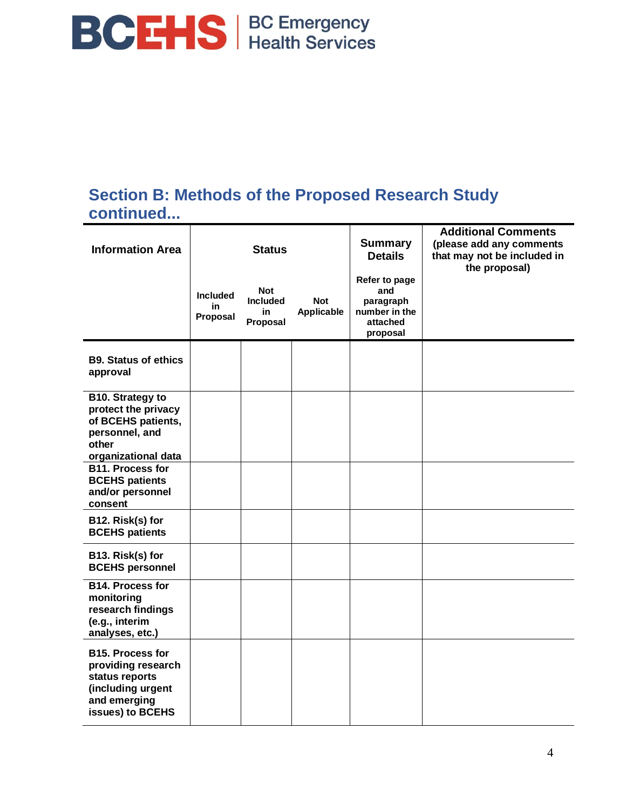

#### **Section B: Methods of the Proposed Research Study continued...**

| <b>Information Area</b>                                                                                                  | <b>Status</b>                     |                                                 |                          | <b>Summary</b><br><b>Details</b>                                           | <b>Additional Comments</b><br>(please add any comments<br>that may not be included in<br>the proposal) |  |
|--------------------------------------------------------------------------------------------------------------------------|-----------------------------------|-------------------------------------------------|--------------------------|----------------------------------------------------------------------------|--------------------------------------------------------------------------------------------------------|--|
|                                                                                                                          | <b>Included</b><br>in<br>Proposal | <b>Not</b><br><b>Included</b><br>in<br>Proposal | <b>Not</b><br>Applicable | Refer to page<br>and<br>paragraph<br>number in the<br>attached<br>proposal |                                                                                                        |  |
| <b>B9. Status of ethics</b><br>approval                                                                                  |                                   |                                                 |                          |                                                                            |                                                                                                        |  |
| B10. Strategy to<br>protect the privacy<br>of BCEHS patients,<br>personnel, and<br>other<br>organizational data          |                                   |                                                 |                          |                                                                            |                                                                                                        |  |
| <b>B11. Process for</b><br><b>BCEHS patients</b><br>and/or personnel<br>consent                                          |                                   |                                                 |                          |                                                                            |                                                                                                        |  |
| B12. Risk(s) for<br><b>BCEHS patients</b>                                                                                |                                   |                                                 |                          |                                                                            |                                                                                                        |  |
| B13. Risk(s) for<br><b>BCEHS personnel</b>                                                                               |                                   |                                                 |                          |                                                                            |                                                                                                        |  |
| <b>B14. Process for</b><br>monitoring<br>research findings<br>(e.g., interim<br>analyses, etc.)                          |                                   |                                                 |                          |                                                                            |                                                                                                        |  |
| <b>B15. Process for</b><br>providing research<br>status reports<br>(including urgent<br>and emerging<br>issues) to BCEHS |                                   |                                                 |                          |                                                                            |                                                                                                        |  |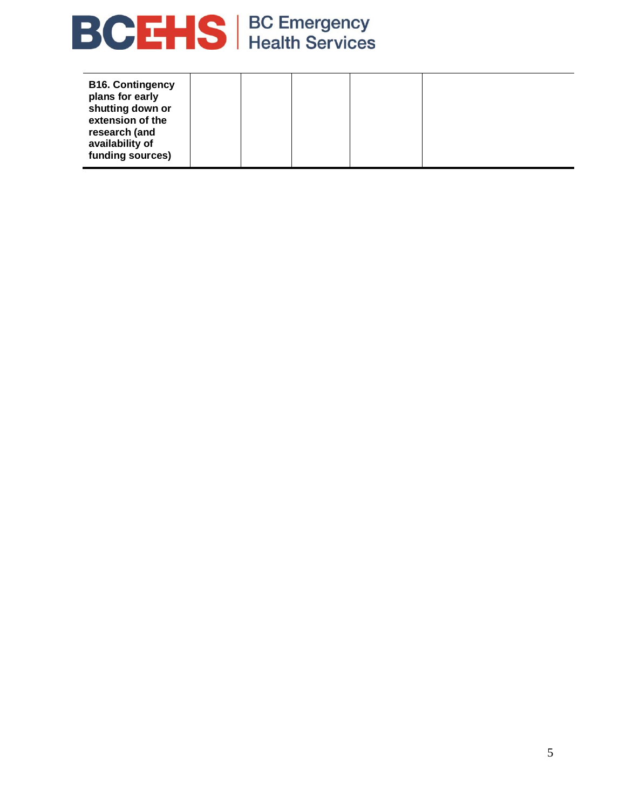

| <b>B16. Contingency</b><br>plans for early<br>shutting down or<br>extension of the<br>research (and<br>availability of<br>funding sources) |  |  |  |  |  |
|--------------------------------------------------------------------------------------------------------------------------------------------|--|--|--|--|--|
|--------------------------------------------------------------------------------------------------------------------------------------------|--|--|--|--|--|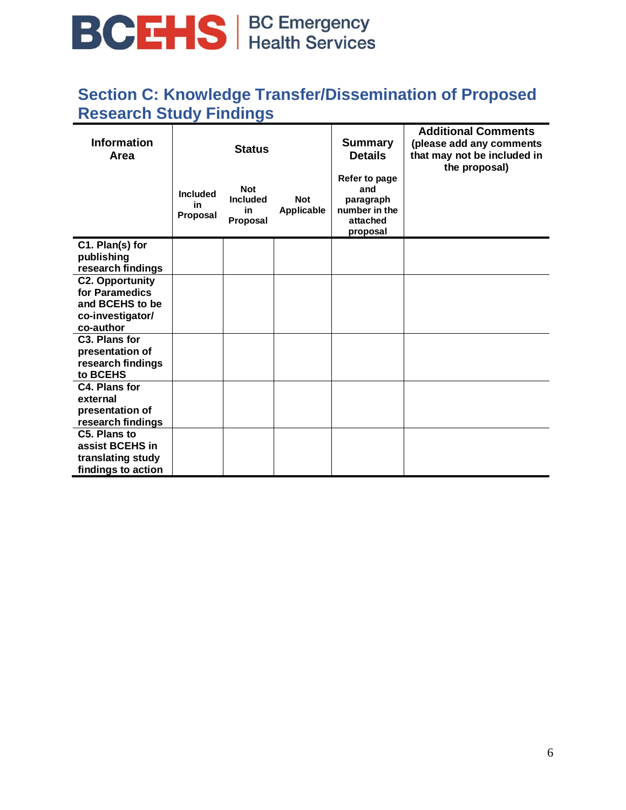# **BCHS** BC Emergency

### **Section C: Knowledge Transfer/Dissemination of Proposed Research Study Findings**

| <b>Information</b><br>Area                                                                   | <b>Status</b>                     |                                                 |                          | <b>Summary</b><br><b>Details</b>                                           | <b>Additional Comments</b><br>(please add any comments<br>that may not be included in<br>the proposal) |
|----------------------------------------------------------------------------------------------|-----------------------------------|-------------------------------------------------|--------------------------|----------------------------------------------------------------------------|--------------------------------------------------------------------------------------------------------|
|                                                                                              | <b>Included</b><br>in<br>Proposal | <b>Not</b><br><b>Included</b><br>in<br>Proposal | <b>Not</b><br>Applicable | Refer to page<br>and<br>paragraph<br>number in the<br>attached<br>proposal |                                                                                                        |
| C1. Plan(s) for<br>publishing<br>research findings                                           |                                   |                                                 |                          |                                                                            |                                                                                                        |
| <b>C2. Opportunity</b><br>for Paramedics<br>and BCEHS to be<br>co-investigator/<br>co-author |                                   |                                                 |                          |                                                                            |                                                                                                        |
| C <sub>3</sub> . Plans for<br>presentation of<br>research findings<br>to BCEHS               |                                   |                                                 |                          |                                                                            |                                                                                                        |
| C4. Plans for<br>external<br>presentation of<br>research findings                            |                                   |                                                 |                          |                                                                            |                                                                                                        |
| C5. Plans to<br>assist BCEHS in<br>translating study<br>findings to action                   |                                   |                                                 |                          |                                                                            |                                                                                                        |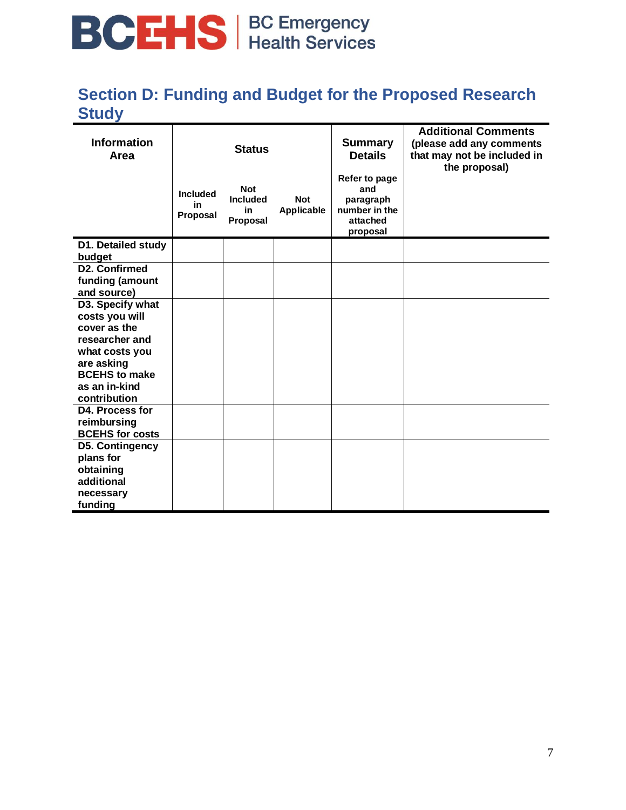# **BCHS** BC Emergency

### **Section D: Funding and Budget for the Proposed Research Study**

| <b>Information</b><br>Area                                                                           |                                   | <b>Status</b>                                          |                          | <b>Summary</b><br><b>Details</b>                                           | <b>Additional Comments</b><br>(please add any comments<br>that may not be included in<br>the proposal) |
|------------------------------------------------------------------------------------------------------|-----------------------------------|--------------------------------------------------------|--------------------------|----------------------------------------------------------------------------|--------------------------------------------------------------------------------------------------------|
|                                                                                                      | <b>Included</b><br>in<br>Proposal | <b>Not</b><br><b>Included</b><br>in<br><b>Proposal</b> | <b>Not</b><br>Applicable | Refer to page<br>and<br>paragraph<br>number in the<br>attached<br>proposal |                                                                                                        |
| D1. Detailed study<br>budget                                                                         |                                   |                                                        |                          |                                                                            |                                                                                                        |
| D2. Confirmed<br>funding (amount<br>and source)                                                      |                                   |                                                        |                          |                                                                            |                                                                                                        |
| D3. Specify what<br>costs you will<br>cover as the<br>researcher and<br>what costs you<br>are asking |                                   |                                                        |                          |                                                                            |                                                                                                        |
| <b>BCEHS to make</b><br>as an in-kind<br>contribution                                                |                                   |                                                        |                          |                                                                            |                                                                                                        |
| D4. Process for<br>reimbursing<br><b>BCEHS for costs</b>                                             |                                   |                                                        |                          |                                                                            |                                                                                                        |
| D5. Contingency<br>plans for<br>obtaining<br>additional<br>necessary<br>funding                      |                                   |                                                        |                          |                                                                            |                                                                                                        |